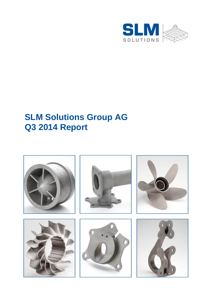

# **SLM Solutions Group AG Q3 2014 Report**

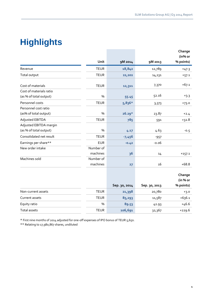# **Highlights**

|                         |             |               |               | Change               |
|-------------------------|-------------|---------------|---------------|----------------------|
|                         | Unit        | 9M 2014       | 9M 2013       | (in% or<br>% points) |
| Revenue                 | <b>TEUR</b> | 18,842        | 12,789        | $+47.3$              |
| Total output            | <b>TEUR</b> | 22,202        | 14,131        | $+57.1$              |
| Cost of materials       | <b>TEUR</b> | 12,311        | 7,370         | $+67.1$              |
| Cost of materials ratio |             |               |               |                      |
| (as % of total output)  | %           | 55.45         | 52.16         | $+3.3$               |
| Personnel costs         | <b>TEUR</b> | $5,836*$      | 3,373         | $+73.0$              |
| Personnel cost ratio    |             |               |               |                      |
| (as% of total output)   | %           | $26.29*$      | 23.87         | $+2.4$               |
| Adjusted EBITDA         | <b>TEUR</b> | 785           | 591           | $+32.8$              |
| Adjusted EBITDA margin  |             |               |               |                      |
| (as % of total output)  | %           | 4.17          | 4.63          | $-0.5$               |
| Consolidated net result | <b>TEUR</b> | $-7,456$      | $-957$        |                      |
| Earnings per share**    | <b>EUR</b>  | $-0.42$       | $-0.06$       |                      |
| New order intake        | Number of   |               |               |                      |
|                         | machines    | 36            | 14            | $+157.1$             |
| Machines sold           | Number of   |               |               |                      |
|                         | machines    | 27            | 16            | $+68.8$              |
|                         |             |               |               |                      |
|                         |             |               |               | Change               |
|                         |             |               |               | (in % or             |
|                         |             | Sep. 30, 2014 | Sep. 30, 2013 | % points)            |
| Non-current assets      | <b>TEUR</b> | 21,398        | 20,780        | $+3.0$               |
| Current assets          | <b>TEUR</b> | 85,293        | 11,587        | $+636.1$             |
| Equity ratio            | %           | 89.53         | 42.93         | $+46.6$              |
| <b>Total assets</b>     | <b>TEUR</b> | 106,691       | 32,367        | $+229.6$             |
|                         |             |               |               |                      |

\* First nine months of 2014 adjusted for one-off expenses of IPO bonus of TEUR 5,650.

\*\* Relating to 17,980,867 shares, undiluted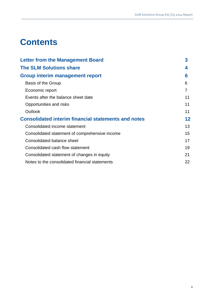# **Contents**

| <b>Letter from the Management Board</b>                    | 3  |
|------------------------------------------------------------|----|
| <b>The SLM Solutions share</b>                             | 4  |
| Group interim management report                            | 6  |
| Basis of the Group                                         | 6  |
| Economic report                                            | 7  |
| Events after the balance sheet date                        | 11 |
| Opportunities and risks                                    | 11 |
| Outlook                                                    | 11 |
| <b>Consolidated interim financial statements and notes</b> | 12 |
| Consolidated income statement                              | 13 |
| Consolidated statement of comprehensive income             | 15 |
| Consolidated balance sheet                                 | 17 |
| Consolidated cash flow statement                           | 19 |
| Consolidated statement of changes in equity                | 21 |
| Notes to the consolidated financial statements             | 22 |
|                                                            |    |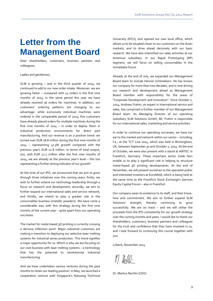# **Letter from the Management Board**

Dear shareholders, customers, business partners and colleagues,

#### Ladies and gentlemen,

SLM is growing – and in the third quarter of 2014, we continued to add to our new order intake. Moreover: we are growing faster – compared with 14 orders in the first nine months of 2013, in the same period this year we have already received 36 orders for machines. In addition, our customers' ordering patterns are changing to our advantage: while exclusively individual machines were ordered in the comparable period of 2013, five customers have already placed orders for multiple machines during the first nine months of 2014 – in order to deploy them in industrial production environments for direct part manufacturing. And our revenue is on a positive trend: we turned over EUR 18.8 million during the first nine months of 2014 – representing 47.3% growth compared with the previous year's EUR 12.8 million. In terms of total output, too, with EUR 22.2 million after the first nine months of 2014, we are already at the previous year's level – this too representing a further strong indicator of our growth!

At the time of our IPO, we announced that we aim to grow through three initiatives over the coming years: firstly, we wish to further extend our technology leadership through a focus on research and development; secondly, we aim to further expand our international sales and service network; and thirdly, we intend to play a greater role in the consumables business (metallic powders). We have come a considerable way with this strategy during the first nine months of the current year – quite apart from our operating successes.

The market for metal-based 3D printing is currently crossing a decisive inflection point. Major industrial customers are making a transition to deploying our selective laser melting systems for industrial series production. This trend signifies a major opportunity for us. Which is why we are focusing on our core business with laser melting systems – a technology that has the potential to revolutionise industrial manufacturing.

And we have undertaken various ventures during the past months to retain our leading position: in May, we launched a cooperation venture with Singapore's Nanyang Technical University (NTU), and opened our own local office, which allows us to be situated closer to our customers on the Asian markets, and to drive ahead decisively with our basic research. We have also intensified our sales activities at our American subsidiary. In our Rapid Prototyping (RP) segment, we will focus on selling consumables in the immediate future.

Already at the end of July, we expanded our Management Board team to include Henner Schöneborn. He has known our company for more than two decades, and is now driving our research and development ahead as Management Board member with responsibility for the areas of "Corporate Development and Innovation". Since October 1, 2014, Andreas Frahm, an expert in international service and sales, has comprised a further member of our Management Board team. As Managing Director of our operating subsidiary SLM Solutions GmbH, Mr. Frahm is responsible for our international sales, marketing and service activities.

In order to continue our operating successes, we have our ear to the market and network within our sector – including, f.e., at the TCT Live 2014, which was held in Birmingham, UK, between September 30 and October 2, 2014. At the end of October, we were also present with a stand at AIRTEC in Frankfurt, Germany. These important sector trade fairs enable us to play a significant role in helping to structure metal-based 3D printing developments. At the end of November, we will present ourselves to the specialist public and interested investors at EuroMold, which is being held at the same time as the Frankfurt Stock Exchange's German Equity Capital Forum – also in Frankfurt.

Our company owes its existence to its staff, and their knowhow and commitment. We aim to further expand SLM Solutions' strength, thereby continuing to grow successfully. We are on track – and we will utilise the proceeds from the IPO consistently for our growth strategy over the coming months and years. I would like to thank our shareholders, customers, business partners and colleagues for the trust and confidence that they have invested in us, and I look forward to continuing this course together with you.

Lübeck, November 2014

M. Redd-

Dr. Markus Rechlin (CEO)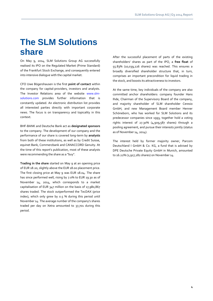# **The SLM Solutions share**

On May 9, 2014, SLM Solutions Group AG successfully realised its IPO on the Regulated Market (Prime Standard) of the Frankfurt Stock Exchange, and consequently entered into intensive dialogue with the capital market.

CFO Uwe Bögershausen is the first **point of contact** within the company for capital-providers, investors and analysts. The Investor Relations area of the website [www.slm](http://www.slm-solutions.com/)[solutions.com](http://www.slm-solutions.com/) provides further information that is constantly updated. An electronic distribution list provides all interested parties directly with important corporate news. The focus is on transparency and topicality in this context.

BHF-BANK and Deutsche Bank act as **designated sponsors** to the company. The development of our company and the performance of our share is covered long-term by **analysts** from both of these institutions, as well as by Credit Suisse, equinet Bank, Commerzbank and CANACCORD Genuity. At the time of this report's publication, most of these analysts were recommending the share as a "buy".

**Trading in the share** started on May 9 at an opening price of EUR 18.20, slightly above the EUR 18.00 placement price. The first closing price at May 9 was EUR 18.04. The share has since performed well, rising by 7.0% to EUR 19.30 as of November 14, 2014, which corresponds to a market capitalisation of EUR 347 million on the basis of 17,980,867 shares traded. The stock outperformed the TecDAX (price index), which only grew by 0.5 % during this period until November 14. The average number of the company's shares traded per day on Xetra amounted to 37,701 during this period.

After the successful placement of parts of the existing shareholders' shares as part of the IPO, a **free float** of 55.83% (10,039,226 shares) was reached. This ensures a broadly diversified shareholder structure that, in turn, comprises an important precondition for liquid trading in the stock, and boosts its attractiveness to investors.

At the same time, key individuals of the company are also committed anchor shareholders: company founder Hans Ihde, Chairman of the Supervisory Board of the company, and majority shareholder of SLM shareholder Ceresio GmbH, and new Management Board member Henner Schöneborn, who has worked for SLM Solutions and its predecessor companies since 1993, together hold a voting rights interest of 27.30% (4,909,587 shares) through a pooling agreement, and pursue their interests jointly (status as of November 14, 2014).

The interest held by former majority owner, Parcom Deutschland I GmbH & Co. KG, a fund that is advised by DPE Deutsche Private Equity GmbH in Munich, amounted to 16.22% (2,917,282 shares) on November 14.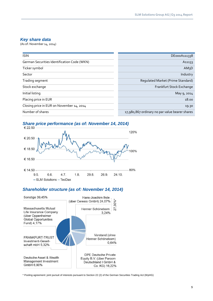## *Key share data*

(As of: November 14, 2014)

| <b>ISIN</b>                                 | DE000A111338                                   |
|---------------------------------------------|------------------------------------------------|
| German Securities Identification Code (WKN) | A <sub>11133</sub>                             |
| Ticker symbol                               | AM <sub>3</sub> D                              |
| Sector                                      | Industry                                       |
| Trading segment                             | Regulated Market (Prime Standard)              |
| Stock exchange                              | Frankfurt Stock Exchange                       |
| Initial listing                             | May 9, 2014                                    |
| Placing price in EUR                        | 18.00                                          |
| Closing price in EUR on November 14, 2014   | 19.30                                          |
| Number of shares                            | 17,980,867 ordinary no par value bearer shares |





## *Shareholder structure (as of: November 14, 2014)*



\* Pooling agreement: joint pursuit of interests pursuant to Section 22 (2) of the German Securities Trading Act (WpHG)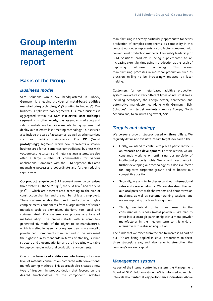# **Group interim management report**

## **Basis of the Group**

#### *Business model*

SLM Solutions Group AG, headquartered in Lübeck, Germany, is a leading provider of **metal-based additive manufacturing technology** ("3D printing technology"). Our business is split into two segments. Our main business is aggregated within our **SLM ("selective laser melting") segment** – in other words, the assembly, marketing and sale of metal-based additive manufacturing systems that deploy our selective laser melting technology. Our services also include the sale of accessories, as well as other services such as machine maintenance. Our **RP ("rapid prototyping") segment**, which now represents a smaller business area for us, comprises our traditional business with vacuum casting systems and metal casting systems. We also offer a large number of consumables for various applications. Compared with the SLM segment, this area meanwhile possesses a subordinate and further reducing significance.

Our **product range** in our SLM segment currently comprises three systems – the SLM  $125^{HL}$ , the SLM  $280^{HL}$  and the SLM 500<sup>HL</sup> – which are differentiated according to the size of construction chamber and the number of lasers employed. These systems enable the direct production of highly complex metal components from a large number of source materials such as aluminium, titanium, tool steel and stainless steel. Our systems can process any type of meltable alloy. The process starts with a computergenerated 3D model of the object to be manufactured, which is melted in layers by using laser beams in a metallic powder bed. Components manufactured in this way meet the highest quality standards in terms of stability, surface structure and biocompatibility, and are increasingly suitable for deployment in industrial production environments.

One of the **benefits of additive manufacturing** is its lower level of material consumption compared with conventional manufacturing methods. This approach also creates a new type of freedom in product design that focuses on the desired functionalities of the component. Additive

manufacturing is thereby particularly appropriate for series production of complex components, as complexity in this context no longer represents a cost factor compared with conventional production methods. The quality leadership of SLM Solutions products is being supplemented to an increasing extent by time gains in production as the result of deploying multi-laser technology. This allows manufacturing processes in industrial production such as precision milling to be increasingly replaced by laser melting.

**Customers** for our metal-based additive production systems are active in very different types of industrial areas, including aerospace, the energy sector, healthcare, and automotive manufacturing. Along with Germany, SLM Solutions' main **target markets** comprise Europe, North America and, to an increasing extent, Asia.

## *Targets and strategy*

We pursue a growth strategy based on **three pillars**. We regularly define and evaluate interim targets for each pillar:

- Firstly, we intend to continue to place a particular focus on **research and development**. For this reason, we are constantly working on optimising our portfolio of intellectual property rights. We regard investments in further developing our technology as a decisive factor for long-term corporate growth and to bolster our competitive position.
- Secondly, we aim to further expand our **international sales and service network**. We are also strengthening our local presence with showrooms and demonstration machines, as well as customer training sessions, and we are improving our brand recognition.
- Thirdly, we intend to be more present in the **consumables business** (metal powders). We plan to enter into a strategic partnership with a metal powder manufacturer in the medium term to this end, or alternatively to realise an acquisition.

The funds that we raised from the capital increase as part of our IPO are being applied in equal proportions to these three strategic areas, and also serve to strengthen the company's working capital.

## *Management system*

As part of the internal controlling system, the Management Board of SLM Solutions Group AG is informed at regular intervals about **internal key performance indicators**. Above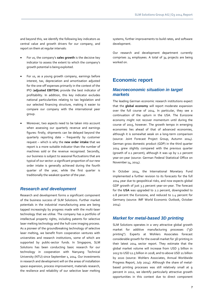and beyond this, we identify the following key indicators as central value and growth drivers for our company, and report on them at regular intervals:

- For us, the company's **sales growth** is the decisive key indicator to assess the extent to which the company's growth potential is being exploited.
- For us, as a young growth company, earnings before interest, tax, depreciation and amortisation adjusted for the one-off expenses primarily in the context of the IPO (**adjusted EBITDA**) provide the best indicator of profitability. In addition, this key indicator excludes national particularities relating to tax legislation and our selected financing structure, making it easier to compare our company with the international peer group.
- Moreover, two aspects need to be taken into account when assessing our quarterly revenue and earnings figures: firstly, shipments can be delayed beyond the quarterly reporting date – frequently by customer request – which is why the **new order intake** that we report is a more suitable indicator than the number of machines sold or the revenue recognised. Secondly, our business is subject to seasonal fluctuations that are typical of our sector: a significant proportion of our new order intake is generally achieved during the fourth quarter of the year, while the first quarter is traditionally the weakest quarter of the year.

### *Research and development*

Research and development forms a significant component of the business success of SLM Solutions. Further market potentials in the industrial manufacturing area are being tapped increasingly by progress made with the multi-laser technology that we utilise. The company has a portfolio of intellectual property rights, including patents for selective laser melting technology and the hull-core imaging process. As a pioneer of the groundbreaking technology of selective laser melting, we benefit from cooperation ventures with universities and research institutions, some of which are supported by public-sector funds. In Singapore, SLM Solutions has been conducting basic research for our technology in cooperation with Nanyang Technical University (NTU) since September 1, 2014. Our investments in research and development will on the areas of installation space expansion, process improvement, materials research, the resilience and reliability of our selective laser melting

systems, further improvements to build rates, and software development.

Our research and development department currently comprises 24 employees. A total of 34 projects are being worked on.

## **Economic report**

## *Macroeconomic situation in target markets*

The leading German economic research institutions expect that the **global economy** will report moderate expansion over the full course of 2014. In particular, they see a continuation of the upturn in the USA. The Eurozone economy might not recover momentum until during the course of 2015, however. The growth tempo in emerging economies lies ahead of that of advanced economies, although it is somewhat weak on a long-term comparison (source: Joint Forecast Project Group, Autumn 2014). German gross domestic product (GDP) in the third quarter 2014 grew slightly compared with the previous quarter (growth of 0.1 percent), although it was up by 1.2 percent year-on-year (source: German Federal Statistical Office on November 14, 2014).

In October 2014, the International Monetary Fund implemented a further revision to its forecasts for the full 2014 year due to geopolitical risks, and now expects global GDP growth of just 3.3 percent year-on-year. The forecast for the **USA** was upgraded to 2.2 percent, downgraded to 0.8 percent the Eurozone, and reduced to 1.4 percent for Germany (source: IMF World Economic Outlook, October 2014).

## *Market for metal-based 3D printing*

SLM Solutions operates in a very attractive global growth market for additive manufacturing processes ("3D printing"). Experts at Wohlers Associates forecast considerable growth for the overall market for 3D printing in their latest 2014 sector report. They estimate that the global market volume will increase from USD 3 billion in 2013 to USD 12.5 billion in 2018, and to above USD 21 billion by 2020 (source: Wohlers Associates, Annual Worldwide Progress Report, July 2014). Although the share of metalbased printing processes was still relatively small at 9 percent in 2012, we identify particularly attractive growth opportunities in this context due to direct component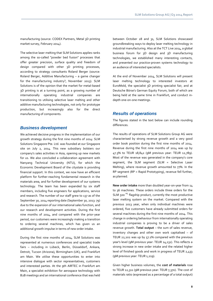manufacturing (source: CODEX Partners, Metal 3D printing market survey, February 2014).

The selective laser melting that SLM Solutions applies ranks among the so-called "powder bed fusion" processes that offer greater precision, surface quality and freedom of design compared with other 3D printing processes, according to strategy consultants Roland Berger (source: Roland Berger, Additive Manufacturing – a game changer for the manufacturing industry?, November 2013). SLM Solutions is of the opinion that the market for metal-based 3D printing is at a turning point, as a growing number of internationally operating industrial companies are transitioning to utilising selective laser melting and other additive manufacturing technologies, not only for prototype production, but increasingly also for the direct manufacturing of components.

### *Business development*

We achieved decisive progress in the implementation of our growth strategy during the first nine months of 2014: SLM Solutions Singapore Pte. Ltd. was founded at our Singapore site on July 2, 2014. This new subsidiary bolsters our company's sales activities in Asia, opening up new markets for us. We also concluded a collaboration agreement with Nanyang Technical University (NTU), for which the Economic Development Board of the citystate is providing financial support. In this context, we now have an efficient platform for further-reaching fundamental research in the materials area, and for further development of our systems technology. The team has been expanded by six staff members, including five engineers for applications, service and research. The number of our staff grew to 137 as of the September 30, 2014 reporting date (September 30, 2013: 79) due to the expansion of our international sales function, and our research and development activities. During the first nine months of 2014, and compared with the prior-year period, our customers were increasingly making a transition to ordering several machines, which has given us an additional growth impulse in terms of new order intake.

During the first nine months of 2014, SLM Solutions was represented at numerous conferences and specialist trade fairs – including in Lübeck, Berlin, Düsseldorf, Ankara, Detroit, Tucson (Arizona), Birmingham (UK), and Frankfurt am Main. We utilise these opportunities to enter into intensive dialogue with sector representatives, customers and interested parties. At the 9th AIRTEC in Frankfurt am Main, a specialist exhibition for aerospace technology with B2B meetings and an international conference that was held

between October 28 and 31, SLM Solutions showcased groundbreaking ways to deploy laser melting technology in industrial manufacturing. Also at the TCT Live 2014, a global business forum for 3D design and 3D manufacturing technologies, we established many interesting contacts, and presented our practice-proven systems technology to an audience of interested specialists.

At the end of November 2014, SLM Solutions will present laser melting technology to interested investors at EuroMold, the specialist 3D printing specialist fair, and at Deutsche Börse's German Equity Forum, both of which are being held at the same time in Frankfurt, and conduct indepth one-on-one meetings.

### *Results of operations*

The figures stated in the text below can include rounding differences.

The results of operations of SLM Solutions Group AG were characterised by strong revenue growth and a very good order book position during the first nine months of 2014. Revenue during the first nine months of 2014 was up by 47.3% to TEUR 18,842 (9M previous year: TEUR 12,789). Most of the revenue was generated in the company's core segment, the SLM segment (SLM = Selective Laser Melting), where revenue growth amounted to 77%. In the RP segment (RP = Rapid Prototyping), revenue fell further, as planned.

**New order intake** more than doubled year-on-year from 14 to 36 machines. These orders include three orders for the SLM 500<sup>HL</sup> flagship product, currently the most productive laser melting system on the market. Compared with the previous 2013 year, when only individual machines were ordered, five customers have already submitted orders for several machines during the first nine months of 2014. This change in ordering behaviour from internationally operating industrial companies is proving to be a driver of sales revenue growth. **Total output** – the sum of sales revenue, inventory changes and other own work capitalised – of TEUR 22,202 was up by 57.1% compared with the previous year's level (9M previous year: TEUR 14,131). This reflects a strong increase in new order intake and the related higher level of finished goods and work in progress of TEUR 2,433 (9M previous year: TEUR 1,219).

Given higher business volumes, the **cost of materials** rose to TEUR 12,311 (9M previous year: TEUR 7,370). The cost of materials ratio (expressed as a percentage of a total output)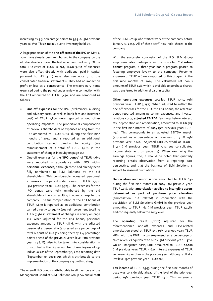increasing by 3.3 percentage points to 55.5 % (9M previous year: 52.2%). This is mainly due to inventory build-up.

A large proportion of the **one-off costs of the IPO** on May 9, 2014 have already been reimbursed to the company by the old shareholders during the first nine months of 2014. Of the total IPO costs of TEUR 12,261, TEUR 3,811 of expenses were also offset directly with additional paid-in capital pursuant to IAS 32 (please also see note 5 to the consolidated financial statements). They had no impact on profit or loss as a consequence. The extraordinary items expensed during the period under review in connection with the IPO amounted to TEUR 8,450, and are composed as follows:

- **One-off expenses** for the IPO (preliminary, auditing and advisory costs, as well as bank fees and insurance cost) of TEUR 2,800 were reported among **other operating expenses**. The proportional compensation of previous shareholders of expenses arising from the IPO amounted to TEUR 1,812 during the first nine months of 2014, and is reported as an additional contribution carried directly to equity (see reimbursement of a total of TEUR 7,461 in the statement of changes in equity on page 21).
- One-off expenses for the **"IPO bonus"** of TEUR 5,650 were reported in accordance with IFRS within **personnel expenses**, although these had already been fully reimbursed to SLM Solutions by the old shareholders. This considerably increased personnel expenses in the period under review, to TEUR 11,486 (9M previous year: TEUR 3,373). The expenses for the IPO bonus were fully reimbursed by the old shareholders, thereby resulting in no net charge for the company. The full compensation of the IPO bonus of TEUR 5,650 is reported as an additional contribution carried directly to equity (see reimbursement totalling TEUR 7,461 in statement of changes in equity on page 21). When adjusted for the IPO bonus, personnel expenses amount to TEUR 5,836, with the adjusted personnel expense ratio (expressed as a percentage of total output) of 26.29% being thereby 2.4 percentage points ahead of the previous year's level (9m previous year: 23.87%). Also to be taken into consideration in this context is the higher **number of employees** of 137 individuals as of the September 30, 2014 reporting date (September 30, 2013: 79), which is attributable to the implementation of the company's growth strategy.

The one-off IPO bonus is attributable to all members of the Management Board of SLM Solutions Group AG and all staff of the SLM Group who started work at the company before January 1, 2013. All of these staff now hold shares in the company.

With the successful conclusion of the IPO, SLM Group employees also participate in the so-called **"retention bonus"** program, a three-year bonus program geared to fostering employee loyalty to the company. Personnel expenses of TEUR 746 were reported for this program in the first nine months of 2014. The calculated net bonus amounts of TEUR 448, which is available to purchase shares, was transferred to additional paid-in capital.

**Other operating expenses** totalled TEUR 7,594 (9M previous year: TEUR 3,252). When adjusted to reflect the one-off expenses for the IPO, the IPO bonus, the retention bonus reported among personnel expenses, and investor relations costs, **adjusted EBITDA** (earnings before interest, tax, depreciation and amortisation) amounted to TEUR 785 in the first nine months of 2014 (9M previous year: TEUR 591). This corresponds to an adjusted EBITDA margin (expressed as a percentage of revenue) of 4.2% (9M previous year: 4.6%). Adjusted EBITDA stood at TEUR - 8,517 (9M previous year: TEUR 591, see consolidated income statement on page 13). When examining the earnings figures, too, it should be noted that quarterly reporting entails observation from a reporting date perspective, and that the business of SLM Solutions is subject to seasonal fluctuations.

**Depreciation and amortisation** amounted to TEUR 630 during the first nine months of 2014 (9M previous year: TEUR 405), with **amortisation applied to intangible assets determined as part of purchase price allocation** (amortisation PPA related) in connection with the acquisition of SLM Solutions GmbH in the previous year amounting to TEUR 961 (9M previous year: TEUR 1,148), and consequently below the 2013 level.

The **operating result (EBIT) adjusted** for the aforementioned one-off expenses and PPA-related amortisation stood at TEUR 155 (9M previous year: TEUR 186), with the EBIT margin (expressed as a percentage of sales revenue) equivalent to 0.8% (9M previous year: 1.5%). On an unadjusted basis, EBIT amounted to TEUR -10,108 (9M previous year: TEUR -962). Interest expenses of TEUR 301 were higher than in the previous year, although still at a low level (9M previous year: TEUR 206).

**Tax income** of TEUR 2,953 during the first nine months of 2014 was considerably ahead of the level of the prior-year period (9M previous year: TEUR 232). This increase is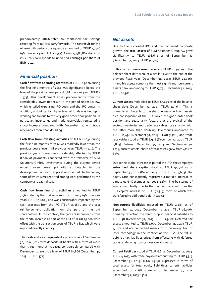predominately attributable to capitalised tax savings resulting from tax loss carryforwards. The **net result** for the nine-month period consequently amounted to TEUR -7,456 (9M previous year: TEUR -957). Given 17,980,867 shares in issue, this corresponds to undiluted **earnings per share** of EUR -0.42.

## *Financial position*

**Cash flow from operating activities** of TEUR -15,106 during the first nine months of 2014 was significantly below the level of the previous-year period (9M previous year: TEUR - 1,973). This development arises predominantly from the considerably lower net result in the period under review, which entailed expensing IPO costs and the IPO bonus. In addition, a significantly higher level of funds was tied up in working capital due to the very good order book position. In particular, inventories and trade receivables registered a sharp increase compared with December 31, with trade receivables more than doubling.

**Cash flow from investing activities** of TEUR -2,034 during the first nine months of 2014 was markedly lower than the previous year's level (9M previous year: TEUR -9,125). The previous year's figure was considerably affected by TEUR 8,000 of payments connected with the takeover of SLM Solutions GmbH. Investments during the current period under review were primarily attributable to the development of new application-oriented technologies, some of which were reported among work performed by the company and capitalised.

**Cash flow from financing activities** amounted to TEUR 78,620 during the first nine months of 2014 (9M previous year: TEUR 10,682), and was considerably impacted by the cash proceeds from the IPO (TEUR 71,189), and the cost reimbursement obligation on the part of the old shareholders. In this context, the gross cash proceeds from the capital increase as part of the IPO of TEUR 75,000 were offset with the transaction costs of TEUR 3,811, which were reported directly in equity.

The **cash and cash equivalents position** as of September 30, 2014 (less term deposits at banks with a term of more than three months) increased considerably compared with December 31, 2013 to a level of TEUR 63,866 (December 31, 2013: TEUR 2,372).

## *Net assets*

Due to the successful IPO and the continued corporate growth, the **total assets** of SLM Solutions Group AG grew significantly to TEUR 106,691 as of September 30 (December 31, 2013: TEUR 35,595).

In this context, **non-current assets** of TEUR 21,398 as of the balance sheet date were at a similar level to the end of the previous fiscal year (December 31, 2013: TEUR 21,026). Intangible assets comprise the most significant non-current assets item, amounting to TEUR 17,791 (December 31, 2013: TEUR 18,971).

**Current assets** multiplied to TEUR 85,293 as of the balance sheet date (December 31, 2013: TEUR 14,569). This is primarily attributable to the sharp increase in liquid assets as a consequence of the IPO. Given the good order book position and seasonality factors that are typical of the sector, inventories and trade receivables rose sharply, with the latter more than doubling. Inventories amounted to TEUR 11,496 (December 31, 2013: TEUR 5,928), and trade receivables stood at TEUR 8,998 (December 31, 2013: TEUR 5,803). Between December 31, 2013 and September 30, 2014, current assets' share of total assets grew from 41% to 80%.

Due to the capital increase as part of the IPO, the company's **subscribed share capital** stood at TEUR 95,516 as of September 30, 2014 (December 31, 2013: TEUR 14,693). The equity ratio consequently registered a marked increase to almost 90% (December 31, 2013: 41%). The bolstering of equity was chiefly due to the payment received from the IPO capital increase of TEUR 72,367, most of which was transferred to additional paid-in capital.

**Non-current liabilities** reduced to TEUR 4,483 as of September 30, 2014 (December 31, 2013: TEUR 16,196), primarily reflecting the sharp drop in financial liabilities to TEUR 38 (December 31, 2013: TEUR 7,968). Deferred tax assets amounted to TEUR 1,075 (December 31, 2013: TEUR 5,167), and are connected mainly with the recognition of laser technology in the context of the PPA. The fall in deferred tax liabilities arises from offsetting with deferred tax asset deriving from tax loss carryforwards.

**Current liabilities** stood at TEUR 6,692 (December 31, 2013: TEUR 4,707), with trade payables amounting to TEUR 3,383 (December 31, 2013: TEUR 1,965). Expressed in terms of total assets (or total equity liabilities), current liabilities accounted for a 6% share as of September 30, 2014 (December 31, 2013: 13%).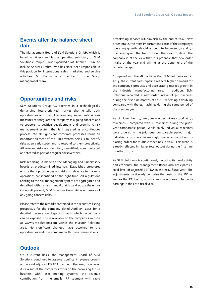## **Events after the balance sheet date**

The Management Board of SLM Solutions GmbH, which is based in Lübeck and is the operating subsidiary of SLM Solutions Group AG, was expanded as of October 1, 2014, to include Andreas Frahm, who has since been responsible in this position for international sales, marketing and service activities. Mr. Frahm is a member of the Group management team.

## **Opportunities and risks**

SLM Solutions Group AG operates in a technologically demanding future-oriented market that entails both opportunities and risks. The company implements various measures to safeguard the company as a going concern and to support its positive development and growth. A risk management system that is integrated as a continuous process into all significant corporate processes forms an important element of this. This system helps is to identify risks at an early stage, and to respond to them proactively. All relevant risks are identified, quantified, communicated and steered as part of a regular risk inventory.

Risk reporting is made to the Managing and Supervisory boards at predetermined intervals. Established structures ensure that opportunities and risks of relevance to business operations are identified at the right time. All regulations relating to the risk management system are aggregated and described within a risk manual that is valid across the entire Group. At present, SLM Solutions Group AG is not aware of any going concern risks.

Please refer to the remarks contained in the securities listing prospectus for the company dated April 25, 2014 for a detailed presentation of specific risks to which the company can be exposed. This is available on the company's website at www.slm-solutions.com within the Investor Relations area. No significant changes have occurred to the opportunities and risks compared with these presentations.

## **Outlook**

On a current basis, the Management Board of SLM Solutions continues to assume significant revenue growth and a solid adjusted EBITDA margin in the 2014 fiscal year. As a result of the company's focus on the promising future business with laser melting systems, the revenue contribution from the smaller RP segment with rapid

prototyping services will diminish by the end of 2014. New order intake, the most important indicator of the company's operating growth, should amount to between 40 and 50 machines given the trend during the year to date. The company is of the view that it is probable that new order intake at the year-end will lie at the upper end of the targeted range.

Compared with the 28 machines that SLM Solutions sold in 2013, the current sales pipeline reflects higher demand for the company's products and accelerating market growth in the industrial manufacturing area. In addition, SLM Solutions recorded a new order intake of 36 machines during the first nine months of 2014 – reflecting a doubling compared with the 14 machines during the same period of the previous year.

As of November 14, 2014, new order intake stood at 43 machines – compared with 21 machines during the prioryear comparable period. While solely individual machines were ordered in the prior-year comparable period, major industrial customers increasingly made a transition to placing orders for multiple machines in 2014. This trend is already reflected in higher total output during the first nine months of 2014.

As SLM Solutions is continuously boosting its productivity and efficiency, the Management Board also anticipates a solid level of adjusted EBITDA in the 2014 fiscal year. The adjustments particularly comprise the costs of the IPO as well as the IPO bonus, which comprise a one-off charge to earnings in the 2014 fiscal year.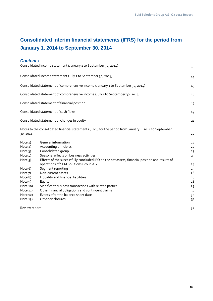## **Consolidated interim financial statements (IFRS) for the period from January 1, 2014 to September 30, 2014**

## *Contents* Consolidated income statement (January 1 to September 30, 2014) 13 Consolidated income statement (July 1 to September 30, 2014) 14 Consolidated statement of comprehensive income (January 1 to September 30, 2014) 15 Consolidated statement of comprehensive income (July 1 to September 30, 2014) 16 Consolidated statement of financial position 17 and 17 and 17 and 17 and 17 and 17 and 17 and 17 and 17 and 17 Consolidated statement of cash flows 19 Consolidated statement of changes in equity 21 Notes to the consolidated financial statements (IFRS) for the period from January 1, 2014 to September 30, 2014 22 Note 1) General information 22 Note 2) Accounting principles 22 Note 3) Consolidated group 23 Note 4) Seasonal effects on business activities 23 Note 5) Effects of the successfully concluded IPO on the net assets, financial position and results of operations of SLM Solutions Group AG 24 Note 6) Segment reporting 25 Note 7) Non-current assets 26 Note 8) Liquidity and financial liabilities 26 and 20 and 20 and 20 and 20 and 20 and 20 and 20 and 20 and 20 and 20 and 20 and 20 and 20 and 20 and 20 and 20 and 20 and 20 and 20 and 20 and 20 and 20 and 20 and 20 and 20 Note 9) Equity 28 Note 10) Significant business transactions with related parties 29 Note 11) Other financial obligations and contingent claims 30 30 Note 12) Events after the balance sheet date 30 and 30 and 30 and 30 and 30 and 30 and 30 and 30 and 30 and 30 Note 13) Other disclosures 31 Review report 32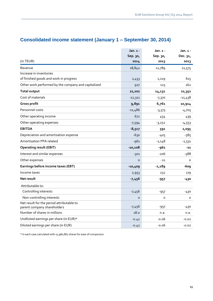|                                                                          | Jan. 1 -  | Jan. 1 - | Jan. 1 -  |
|--------------------------------------------------------------------------|-----------|----------|-----------|
|                                                                          | Sep. 30,  | Sep. 30, | Dec. 31,  |
| (in TEUR)                                                                | 2014      | 2013     | 2013      |
| Revenue                                                                  | 18,842    | 12,789   | 21,575    |
| Increase in inventories                                                  |           |          |           |
| of finished goods and work in progress                                   | 2,433     | 1,219    | 615       |
| Other work performed by the company and capitalized                      | 927       | 123      | 162       |
| <b>Total output</b>                                                      | 22,202    | 14,131   | 22,352    |
| Cost of materials                                                        | $-12,311$ | $-7,370$ | $-11,438$ |
| Gross profit                                                             | 9,891     | 6,761    | 10,914    |
| Personnel costs                                                          | $-11,486$ | $-3,373$ | $-4,705$  |
| Other operating income                                                   | 672       | 454      | 439       |
| Other operating expenses                                                 | $-7,594$  | $-3,252$ | $-4,553$  |
| <b>EBITDA</b>                                                            | $-8,517$  | 591      | 2,095     |
| Depreciation and amortisation expense                                    | $-630$    | $-405$   | $-585$    |
| Amortisation PPA related                                                 | $-961$    | $-1,148$ | $-1,531$  |
| <b>Operating result (EBIT)</b>                                           | $-10,108$ | -962     | $-21$     |
| Interest and similar expenses                                            | $-301$    | -206     | $-588$    |
| Other expenses                                                           | O         | $-21$    | 0         |
| Earnings before income taxes (EBT)                                       | $-10,409$ | $-1,189$ | -609      |
| Income taxes                                                             | 2,953     | 232      | 179       |
| Net result                                                               | $-7,456$  | $-957$   | $-430$    |
| Attributable to:                                                         |           |          |           |
| Controlling interests                                                    | $-7,456$  | $-957$   | $-430$    |
| Non-controlling interests                                                | $\circ$   | o        | 0         |
| Net result for the period attributable to<br>parent company shareholders | $-7,456$  | $-957$   | -430      |
| Number of shares in millions                                             | 18.0      | n.a.     | n.a.      |
| Undiluted earnings per share (in EUR)*                                   | $-0.42$   | $-0.06$  | $-0.02$   |
| Diluted earnings per share (in EUR)                                      | $-0.42$   | $-0.06$  | $-0.02$   |
|                                                                          |           |          |           |

## **Consolidated income statement (January 1 – September 30, 2014)**

\* In each case calculated with 17,980,867 shares for ease of comparison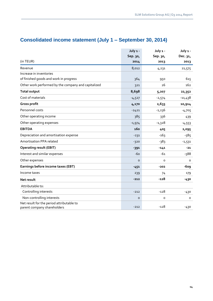|                                                     | July 1 - | July 1 - | July 1 -  |
|-----------------------------------------------------|----------|----------|-----------|
|                                                     | Sep. 30, | Sep. 30, | Dec. 31,  |
| (in TEUR)                                           | 2014     | 2013     | 2013      |
| Revenue                                             | 8,012    | 4,231    | 21,575    |
| Increase in inventories                             |          |          |           |
| of finished goods and work in progress              | 364      | 950      | 615       |
| Other work performed by the company and capitalized | 321      | 26       | 162       |
| <b>Total output</b>                                 | 8,698    | 5,207    | 22,352    |
| Cost of materials                                   | $-4,527$ | $-2,574$ | $-11,438$ |
| Gross profit                                        | 4,170    | 2,633    | 10,914    |
| Personnel costs                                     | $-2421$  | $-1,236$ | $-4,705$  |
| Other operating income                              | 385      | 336      | 439       |
| Other operating expenses                            | $-1,974$ | $-1,328$ | $-4,553$  |
| <b>EBITDA</b>                                       | 160      | 405      | 2,095     |
| Depreciation and amortisation expense               | $-231$   | $-163$   | $-585$    |
| Amortisation PPA related                            | $-320$   | -383     | $-1,531$  |
| <b>Operating result (EBIT)</b>                      | $-391$   | $-141$   | $-21$     |
| Interest and similar expenses                       | $-60$    | $-61$    | $-588$    |
| Other expenses                                      | $\Omega$ | $\circ$  | $\circ$   |
| Earnings before income taxes (EBT)                  | $-451$   | $-202$   | -609      |
| Income taxes                                        | 239      | 74       | 179       |
| Net result                                          | $-212$   | -128     | -430      |
| Attributable to:                                    |          |          |           |
| Controlling interests                               | $-212$   | $-128$   | $-430$    |
| Non-controlling interests                           | $\circ$  | o        | 0         |
| Net result for the period attributable to           |          | $-128$   |           |
| parent company shareholders                         | $-212$   |          | $-430$    |

## **Consolidated income statement (July 1 – September 30, 2014)**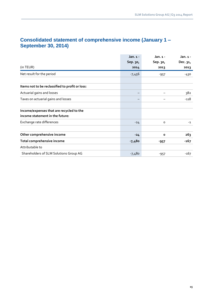|                                                 | Jan. $1 -$ | Jan. 1 -     | Jan. 1 - |
|-------------------------------------------------|------------|--------------|----------|
|                                                 | Sep. 30,   | Sep. 30,     | Dec. 31, |
| (in TEUR)                                       | 2014       | 2013         | 2013     |
| Net result for the period                       | $-7,456$   | $-957$       | -430     |
|                                                 |            |              |          |
| Items not to be reclassified to profit or loss: |            |              |          |
| Actuarial gains and losses                      |            |              | 382      |
| Taxes on actuarial gains and losses             |            |              | $-118$   |
| Income/expenses that are recycled to the        |            |              |          |
| income statement in the future:                 |            |              |          |
| Exchange rate differences                       | $-24$      | $\circ$      | $-1$     |
|                                                 |            |              |          |
| Other comprehensive income                      | $-24$      | $\mathbf{o}$ | 263      |
| Total comprehensive income                      | $-7,480$   | $-957$       | $-167$   |
| Attributable to                                 |            |              |          |
| Shareholders of SLM Solutions Group AG          | $-7,480$   | $-957$       | $-167$   |

## **Consolidated statement of comprehensive income (January 1 – September 30, 2014)**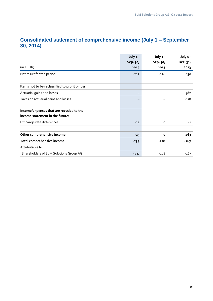## **Consolidated statement of comprehensive income (July 1 – September 30, 2014)**

|                                                                             | July 1 - | July 1 -     | July 1 -        |
|-----------------------------------------------------------------------------|----------|--------------|-----------------|
|                                                                             | Sep. 30, | Sep. 30,     | Dec. 31,        |
| (in TEUR)                                                                   | 2014     | 2013         | 2013            |
| Net result for the period                                                   | $-212$   | -128         | -430            |
| Items not to be reclassified to profit or loss:                             |          |              |                 |
| Actuarial gains and losses                                                  |          |              | 382             |
| Taxes on actuarial gains and losses                                         |          |              | $-118$          |
| Income/expenses that are recycled to the<br>income statement in the future: |          |              |                 |
| Exchange rate differences                                                   | $-25$    | $\circ$      | $-1$            |
| Other comprehensive income                                                  | $-25$    | $\mathbf{o}$ | 26 <sub>3</sub> |
| Total comprehensive income                                                  | $-237$   | -128         | $-167$          |
| Attributable to                                                             |          |              |                 |
| Shareholders of SLM Solutions Group AG                                      | $-237$   | -128         | -167            |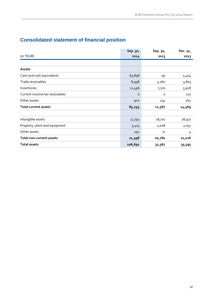## **Consolidated statement of financial position**

|                                 | Sep. 30, | Sep. 30, | Dec. 31, |
|---------------------------------|----------|----------|----------|
| (in TEUR)                       | 2014     | 2013     | 2013     |
|                                 |          |          |          |
| Assets                          |          |          |          |
| Cash and cash equivalents       | 63,898   | $-97$    | 2,404    |
| Trade receivables               | 8,998    | 4,260    | 5,803    |
| Inventories                     | 11,496   | 7,170    | 5,928    |
| Current income tax receivables  | o        | o        | 172      |
| Other assets                    | 902      | 254      | 262      |
| <b>Total current assets</b>     | 85,293   | 11,587   | 14,569   |
|                                 |          |          |          |
| Intangible assets               | 17,791   | 18,701   | 18,971   |
| Property, plant and equipment   | 3,415    | 2,008    | 2,051    |
| Other assets                    | 192      | 71       | 4        |
| <b>Total non-current assets</b> | 21,398   | 20,780   | 21,026   |
| <b>Total assets</b>             | 106,691  | 32,367   | 35,595   |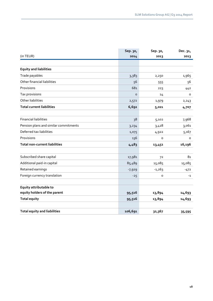|                                       | Sep. 30, | Sep. 30, | Dec. 31, |
|---------------------------------------|----------|----------|----------|
| (in TEUR)                             | 2014     | 2013     | 2013     |
|                                       |          |          |          |
| <b>Equity and liabilities</b>         |          |          |          |
| Trade payables                        | 3,383    | 2,250    | 1,965    |
| Other financial liabilities           | 56       | 555      | 56       |
| Provisions                            | 681      | 223      | 442      |
| Tax provisions                        | $\circ$  | 14       | 0        |
| Other liabilities                     | 2,572    | 1,979    | 2, 243   |
| <b>Total current liabilities</b>      | 6,692    | 5,021    | 4,707    |
|                                       |          |          |          |
| <b>Financial liabilities</b>          | 38       | 5,102    | 7,968    |
| Pension plans and similar commitments | 3,234    | 3,428    | 3,061    |
| Deferred tax liabilities              | 1,075    | 4,922    | 5,167    |
| Provisions                            | 136      | o        | 0        |
| <b>Total non-current liabilities</b>  | 4,483    | 13,452   | 16,196   |
|                                       |          |          |          |
| Subscribed share capital              | 17,981   | 72       | 81       |
| Additional paid-in capital            | 85,489   | 15,085   | 15,085   |
| Retained earnings                     | $-7,929$ | $-1,263$ | $-472$   |
| Foreign currency translation          | $-25$    | o        | $-1$     |
| Equity attributable to                |          |          |          |
| equity holders of the parent          | 95,516   | 13,894   | 14,693   |
| <b>Total equity</b>                   | 95,516   | 13,894   | 14,693   |
|                                       |          |          |          |
| <b>Total equity and liabilities</b>   | 106,691  | 32,367   | 35,595   |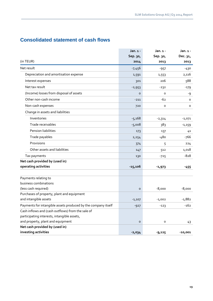## **Consolidated statement of cash flows**

|                                                               | Jan. 1 -  | Jan. 1 - | Jan. 1 -  |
|---------------------------------------------------------------|-----------|----------|-----------|
|                                                               | Sep. 30,  | Sep. 30, | Dec. 31,  |
| (in TEUR)                                                     | 2014      | 2013     | 2013      |
| Net result                                                    | $-7,456$  | -957     | -430      |
| Depreciation and amortisation expense                         | 1,591     | 1,553    | 2,116     |
| Interest expenses                                             | 301       | 206      | 588       |
| Net tax result                                                | $-2,953$  | $-232$   | $-179$    |
| (Income) losses from disposal of assets                       | $\circ$   | o        | -9        |
| Other non-cash income                                         | $-211$    | $-62$    | o         |
| Non-cash expenses                                             | 720       | $\circ$  | o         |
| Change in assets and liabilities                              |           |          |           |
| Inventories                                                   | $-5,168$  | $-2,314$ | $-1,071$  |
| Trade receivables                                             | $-5,008$  | 383      | -1,159    |
| Pension liabilities                                           | 173       | 137      | 41        |
| Trade payables                                                | 2,254     | $-480$   | -766      |
| Provisions                                                    | 374       | 5        | 224       |
| Other assets and liabilities                                  | 147       | 512      | 1,018     |
| Tax payments                                                  | 130       | -725     | $-828$    |
| Net cash provided by (used in)                                |           |          |           |
| operating activities                                          | $-15,106$ | $-1,973$ | $-455$    |
|                                                               |           |          |           |
| Payments relating to                                          |           |          |           |
| business combinations                                         |           |          |           |
| (less cash required)                                          | $\circ$   | $-8,000$ | $-8,000$  |
| Purchases of property, plant and equipment                    |           |          |           |
| and intangible assets                                         | $-1,107$  | $-1,002$ | $-1,882$  |
| Payments for intangible assets produced by the company itself | $-927$    | $-123$   | $-162$    |
| Cash inflows and (cash outflows) from the sale of             |           |          |           |
| participating interests, intangible assets,                   |           |          |           |
| and property, plant and equipment                             | $\circ$   | o        | 43        |
| Net cash provided by (used in)                                |           |          |           |
| investing activities                                          | $-2,034$  | $-9,125$ | $-10,001$ |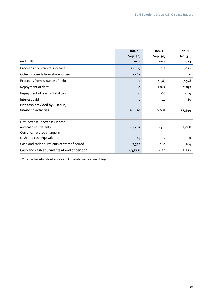|                                              | Jan. $1 -$ | $Jan.1 -$    | Jan. 1 - |
|----------------------------------------------|------------|--------------|----------|
|                                              | Sep. 30,   | Sep. 30,     | Dec. 31, |
| (in TEUR)                                    | 2014       | 2013         | 2013     |
| Proceeds from capital increase               | 71,189     | 8,013        | 8,022    |
| Other proceeds from shareholders             | 7,461      |              | $\circ$  |
| Proceeds from issuance of debt               | $\circ$    | 4,587        | 7,578    |
| Repayment of debt                            | $\circ$    | $-1,842$     | $-2,837$ |
| Repayment of leasing liabilities             | $\circ$    | $-66$        | $-139$   |
| Interest paid                                | $-30$      | $-10$        | -80      |
| Net cash provided by (used in)               |            |              |          |
| financing activities                         | 78,620     | 10,682       | 12,544   |
|                                              |            |              |          |
| Net increase (decrease) in cash              |            |              |          |
| and cash equivalents                         | 61,481     | -416         | 2,088    |
| Currency-related change in                   |            |              |          |
| cash and cash equivalents                    | 13         | $\mathbf{2}$ | $\circ$  |
| Cash and cash equivalents at start of period | 2,372      | 284          | 284      |
| Cash and cash equivalents at end of period*  | 63,866     | $-129$       | 2,372    |

\* To reconcile cash and cash equivalents in the balance sheet, see Note 9.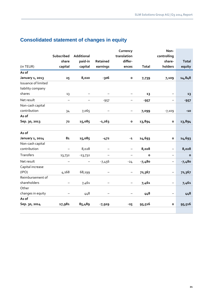|                     |                          |            |                   | Currency                 |              | Non-                     |              |
|---------------------|--------------------------|------------|-------------------|--------------------------|--------------|--------------------------|--------------|
|                     | Subscribed               | Additional |                   | translation              |              | controlling              |              |
|                     | share                    | paid-in    | Retained          | differ-                  |              | share-                   | <b>Total</b> |
| (in TEUR)           | capital                  | capital    | earnings          | ences                    | Total        | holders                  | equity       |
| As of               |                          |            |                   |                          |              |                          |              |
| January 1, 2013     | 25                       | 8,020      | -306              | $\mathbf{o}$             | 7,739        | 7,109                    | 14,848       |
| Issuance of limited |                          |            |                   |                          |              |                          |              |
| liability company   |                          |            |                   |                          |              |                          |              |
| shares              | 13                       |            |                   |                          | 13           |                          | 13           |
| Net result          | $\overline{\phantom{0}}$ |            | $-957$            | -                        | $-957$       | —                        | $-957$       |
| Non-cash capital    |                          |            |                   |                          |              |                          |              |
| contribution        | 34                       | 7,065      |                   |                          | 7,099        | $-7,109$                 | $-10$        |
| As of               |                          |            |                   |                          |              |                          |              |
| Sep. 30, 2013       | 72                       | 15,085     | $-1,263$          | $\mathbf{o}$             | 13,894       | $\mathbf{o}$             | 13,894       |
| As of               |                          |            |                   |                          |              |                          |              |
| January 1, 2014     | 8 <sub>1</sub>           | 15,085     | $-472$            | $-1$                     | 14,693       | $\mathbf{o}$             | 14,693       |
| Non-cash capital    |                          |            |                   |                          |              |                          |              |
| contribution        |                          | 8,028      |                   | $\overline{\phantom{0}}$ | 8,028        |                          | 8,028        |
| Transfers           | 13,732                   | $-13,732$  | $\qquad \qquad -$ | $\overline{\phantom{m}}$ | $\mathbf{o}$ | -                        | $\mathbf{o}$ |
| Net result          | $\overline{\phantom{0}}$ |            | $-7,456$          | $-24$                    | $-7,480$     | $\overline{\phantom{0}}$ | $-7,480$     |
| Capital increase    |                          |            |                   |                          |              |                          |              |
| (IPO)               | 4,168                    | 68,199     |                   | $\qquad \qquad -$        | 72,367       | $\qquad \qquad -$        | 72,367       |
| Reimbursement of    |                          |            |                   |                          |              |                          |              |
| shareholders        |                          | 7,461      |                   | —                        | 7,461        | $\qquad \qquad -$        | 7,461        |
| Other               |                          |            |                   |                          |              |                          |              |
| changes in equity   |                          | 448        |                   |                          | 448          |                          | 448          |
| As of               |                          |            |                   |                          |              |                          |              |
| Sep. 30, 2014       | 17,981                   | 85,489     | $-7,929$          | $-25$                    | 95,516       | o                        | 95,516       |

## **Consolidated statement of changes in equity**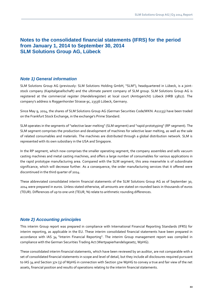## **Notes to the consolidated financial statements (IFRS) for the period from January 1, 2014 to September 30, 2014 SLM Solutions Group AG, Lübeck**

## *Note 1) General information*

SLM Solutions Group AG (previously: SLM Solutions Holding GmbH, "SLM"), headquartered in Lübeck, is a jointstock company (Kapitalgesellschaft) and the ultimate parent company of SLM group. SLM Solutions Group AG is registered at the commercial register (Handelsregister) at local court (Amtsgericht) Lübeck (HRB 13827). The company's address is Roggenhorster Strasse 9c, 23556 Lübeck, Germany.

Since May 9, 2014, the shares of SLM Solutions Group AG (German Securities Code/WKN: A11133) have been traded on the Frankfurt Stock Exchange, in the exchange's Prime Standard.

SLM operates in the segments of "selective laser melting" (SLM segment) and "rapid prototyping" (RP segment). The SLM segment comprises the production and development of machines for selective laser melting, as well as the sale of related consumables and materials. The machines are distributed through a global distribution network. SLM is represented with its own subsidiary in the USA and Singapore.

In the RP segment, which now comprises the smaller operating segment, the company assembles and sells vacuum casting machines and metal casting machines, and offers a large number of consumables for various applications in the rapid prototype manufacturing area. Compared with the SLM segment, this area meanwhile is of subordinate significance, which will decrease further. As a consequence, the order manufacturing services that it offered were discontinued in the third quarter of 2014.

These abbreviated consolidated interim financial statements of the SLM Solutions Group AG as of September 30, 2014 were prepared in euros. Unless stated otherwise, all amounts are stated on rounded basis in thousands of euros (TEUR). Differences of up to one unit (TEUR, %) relate to arithmetic rounding differences.

## *Note 2) Accounting principles*

This interim Group report was prepared in compliance with International Financial Reporting Standards (IFRS) for interim reporting, as applicable in the EU. These interim consolidated financial statements have been prepared in accordance with IAS 34 "Interim Financial Reporting". The interim Group management report was compiled in compliance with the German Securities Trading Act (Wertpapierhandelsgesetz, WpHG).

These consolidated interim financial statements, which have been reviewed by an auditor, are not comparable with a set of consolidated financial statements in scope and level of detail, but they include all disclosures required pursuant to IAS 34 and Section 37x (3) of WpHG in connection with Section 37w WpHG to convey a true and fair view of the net assets, financial position and results of operations relating to the interim financial statements.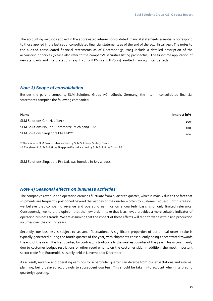The accounting methods applied in the abbreviated interim consolidated financial statements essentially correspond to those applied in the last set of consolidated financial statements as of the end of the 2013 fiscal year. The notes to the audited consolidated financial statements as of December 31, 2013 include a detailed description of the accounting principles (please also refer to the company's securities listing prospectus). The first-time application of new standards and interpretations (e.g. IFRS 10, IFRS 11 and IFRS 12) resulted in no significant effects.

## *Note 3) Scope of consolidation*

Besides the parent company, SLM Solutions Group AG, Lübeck, Germany, the interim consolidated financial statements comprise the following companies:

| <b>Name</b>                                     | Interest in% |
|-------------------------------------------------|--------------|
| SLM Solutions GmbH, Lübeck                      | 100          |
| SLM Solutions NA, Inc., Commerce, Michigan/USA* | 100          |
| SLM Solutions Singapore Pte Ltd**               | 100          |

\* The shares in SLM Solutions NA are held by SLM Solutions Gmbh, Lübeck.

\*\* The shares in SLM Solutions Singapore Pte Ltd are held by SLM Solutions Group AG.

SLM Solutions Singapore Pte Ltd. was founded in July 2, 2014.

### *Note 4) Seasonal effects on business activities*

The company's revenue and operating earnings fluctuate from quarter to quarter, which is mainly due to the fact that shipments are frequently postponed beyond the last day of the quarter – often by customer request. For this reason, we believe that comparing revenue and operating earnings on a quarterly basis is of only limited relevance. Consequently, we hold the opinion that the new order intake that is achieved provides a more suitable indicator of operating business trends. We are assuming that the impact of these effects will tend to wane with rising production volumes over the coming years.

Secondly, our business is subject to seasonal fluctuations. A significant proportion of our annual order intake is typically generated during the fourth quarter of the year, with shipments consequently being concentrated towards the end of the year. The first quarter, by contrast, is traditionally the weakest quarter of the year. This occurs mainly due to customer budget restrictions or other requirements on the customer side. In addition, the most important sector trade fair, Euromold, is usually held in November or December.

As a result, revenue and operating earnings for a particular quarter can diverge from our expectations and internal planning, being delayed accordingly to subsequent quarters. This should be taken into account when interpreting quarterly reporting.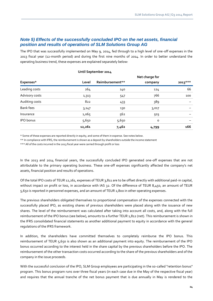## *Note 5) Effects of the successfully concluded IPO on the net assets, financial position and results of operations of SLM Solutions Group AG*

The IPO that was successfully implemented on May 9, 2014, fed through to a high level of one-off expenses in the 2013 fiscal year (12-month period) and during the first nine months of 2014. In order to better understand the operating business trend, these expenses are explained separately below:

|                  |        |                 | Net charge for |           |
|------------------|--------|-----------------|----------------|-----------|
| Expenses*        | Level  | Reimbursement** | company        | $2013***$ |
| Leading costs    | 264    | 140             | 124            | 66        |
| Advisory costs   | 1,313  | 547             | 766            | 100       |
| Auditing costs   | 822    | 433             | 389            |           |
| <b>Bank fees</b> | 3,147  | 130             | 3,017          |           |
| Insurance        | 1,065  | 562             | 503            |           |
| <b>IPO</b> bonus | 5,650  | 5,650           | O              |           |
|                  | 12,261 | 7,462           | 4,799          | 166       |

#### **Until September 2014**

\* Some of these expenses are reported directly in equity, and some of them in expense. See notes below.

\*\* In compliance with IFRS, the reimbursement is shown as a deposit by shareholders outside the income statement

\*\*\* All of the costs incurred in the 2013 fiscal year were carried through profit or loss

In the 2013 and 2014 financial years, the successfully concluded IPO generated one-off expenses that are not attributable to the primary operating business. These one-off expenses significantly affected the company's net assets, financial position and results of operations.

Of the total IPO costs of TEUR 12,261, expenses of TEUR 3,811 are to be offset directly with additional paid-in capital, without impact on profit or loss, in accordance with IAS 32. Of the difference of TEUR 8,450, an amount of TEUR 5,650 is reported in personnel expenses, and an amount of TEUR 2,800 in other operating expenses.

The previous shareholders obligated themselves to proportional compensation of the expenses connected with the successfully placed IPO, as existing shares of previous shareholders were placed along with the issuance of new shares. The level of the reimbursement was calculated after taking into account all costs, and, along with the full reimbursement of the IPO bonus (see below), amounts to a further TEUR 1,812 (net). This reimbursement is shown in the IFRS consolidated financial statements as another additional payment to equity in accordance with the general regulations of the IFRS framework.

In addition, the shareholders have committed themselves to completely reimburse the IPO bonus. This reimbursement of TEUR 5,650 is also shown as an additional payment into equity. The reimbursement of the IPO bonus occurred according to the interest held in the share capital by the previous shareholders before the IPO. The reimbursement of the other transaction costs occurred according to the share of the previous shareholders and of the company in the issue proceeds.

With the successful conclusion of the IPO, SLM Group employees are participating in the so-called "retention bonus" program. This bonus program runs over three fiscal years (in each case due in the May of the respective fiscal year) and requires that the annual tranche of the net bonus payment that is due annually in May is rendered to the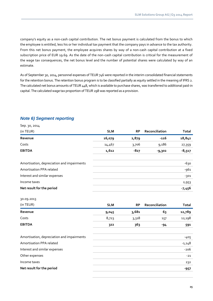company's equity as a non-cash capital contribution. The net bonus payment is calculated from the bonus to which the employee is entitled, less his or her individual tax payment that the company pays in advance to the tax authority. From this net bonus payment, the employee acquires shares by way of a non-cash capital contribution at a fixed subscription price of EUR 19.69. As the date of the non-cash capital contribution is critical for the measurement of the wage tax consequences, the net bonus level and the number of potential shares were calculated by way of an estimate.

As of September 30, 2014, personnel expenses of TEUR 746 were reported in the interim consolidated financial statements for the retention bonus. The retention bonus program is to be classified partially as equity settled in the meaning of IFRS 2. The calculated net bonus amounts of TEUR 448, which is available to purchase shares, was transferred to additional paid-in capital. The calculated wage tax proportion of TEUR 298 was reported as a provision.

## *Note 6) Segment reporting*

| (in TEUR)                                  | <b>SLM</b> | <b>RP</b> | Reconciliation | <b>Total</b> |
|--------------------------------------------|------------|-----------|----------------|--------------|
| Revenue                                    | 16,079     | 2,879     | $-116$         | 18,842       |
| Costs                                      | 14,467     | 3,706     | 9,186          | 27,359       |
| <b>EBITDA</b>                              | 1,612      | $-827$    | $-9,302$       | $-8,517$     |
| Amortisation, depreciation and impairments |            |           |                | $-630$       |
| Amortisation PPA related                   |            |           |                | $-961$       |
| Interest and similar expenses              |            |           |                | $-301$       |
| Income taxes                               |            |           |                | 2,953        |
| Net result for the period                  |            |           |                | $-7,456$     |

30.09.2013

Sep. 30, 2014

| (in TEUR)     | <b>SLM</b> | <b>RP</b> | Reconciliation | Total  |
|---------------|------------|-----------|----------------|--------|
| Revenue       | 9,045      | 3,681     | 63             | 12,789 |
| Costs         | 8,723      | 3,318     | 157            | 12,198 |
| <b>EBITDA</b> | 322        | 363       | -94            | 591    |

| Amortisation, depreciation and impairments | -405     |
|--------------------------------------------|----------|
| Amortisation PPA related                   | $-1,148$ |
| Interest and similar expenses              | -206     |
| Other expenses                             | $-21$    |
| Income taxes                               | 232      |
| Net result for the period                  | -957     |
|                                            |          |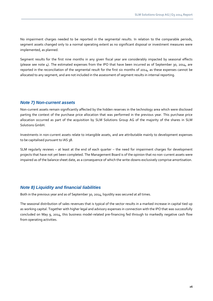No impairment charges needed to be reported in the segmental results. In relation to the comparable periods, segment assets changed only to a normal operating extent as no significant disposal or investment measures were implemented, as planned.

Segment results for the first nine months in any given fiscal year are considerably impacted by seasonal effects (please see note 4). The estimated expenses from the IPO that have been incurred as of September 30, 2014, are reported in the reconciliation of the segmental result for the first six months of 2014, as these expenses cannot be allocated to any segment, and are not included in the assessment of segment results in internal reporting.

## *Note 7) Non-current assets*

Non-current assets remain significantly affected by the hidden reserves in the technology area which were disclosed parting the context of the purchase price allocation that was performed in the previous year. This purchase price allocation occurred as part of the acquisition by SLM Solutions Group AG of the majority of the shares in SLM Solutions GmbH.

Investments in non-current assets relate to intangible assets, and are attributable mainly to development expenses to be capitalised pursuant to IAS 38.

SLM regularly reviews – at least at the end of each quarter – the need for impairment charges for development projects that have not yet been completed. The Management Board is of the opinion that no non-current assets were impaired as of the balance sheet date, as a consequence of which the write-downs exclusively comprise amortisation.

## *Note 8) Liquidity and financial liabilities*

Both in the previous year and as of September 30, 2014, liquidity was secured at all times.

The seasonal distribution of sales revenues that is typical of the sector results in a marked increase in capital tied up as working capital. Together with higher legal and advisory expenses in connection with the IPO that was successfully concluded on May 9, 2014, this business model-related pre-financing fed through to markedly negative cash flow from operating activities.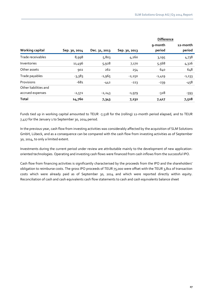|                        |               |               |               | <b>Difference</b> |                    |
|------------------------|---------------|---------------|---------------|-------------------|--------------------|
| <b>Working capital</b> | Sep. 30, 2014 | Dec. 31, 2013 | Sep. 30, 2013 | 9-month<br>period | 12-month<br>period |
| Trade receivables      | 8,998         | 5,803         | 4,260         | 3,195             | 4,738              |
| Inventories            | 11,496        | 5,928         | 7,170         | 5,568             | 4,326              |
| Other assets           | 902           | 262           | 254           | 640               | 648                |
| Trade payables         | $-3,383$      | $-1,965$      | $-2,250$      | $-1,419$          | $-1,133$           |
| Provisions             | $-681$        | $-442$        | $-223$        | $-239$            | $-458$             |
| Other liabilities and  |               |               |               |                   |                    |
| accrued expenses       | $-2,572$      | $-2,243$      | $-1,979$      | -328              | $-593$             |
| <b>Total</b>           | 14,760        | 7,343         | 7,232         | 7,417             | 7,528              |

Funds tied up in working capital amounted to TEUR -7,528 for the (rolling) 12-month period elapsed, and to TEUR 7,417 for the January 1 to September 30, 2014 period.

In the previous year, cash flow from investing activities was considerably affected by the acquisition of SLM Solutions GmbH, Lübeck, and as a consequence can be compared with the cash flow from investing activities as of September 30, 2014, to only a limited extent.

Investments during the current period under review are attributable mainly to the development of new applicationoriented technologies. Operating and investing cash flows were financed from cash inflows from the successful IPO.

Cash flow from financing activities is significantly characterised by the proceeds from the IPO and the shareholders' obligation to reimburse costs. The gross IPO proceeds of TEUR 75,000 were offset with the TEUR 3,811 of transaction costs which were already paid as of September 30, 2014 and which were reported directly within equity. Reconciliation of cash and cash equivalents cash flow statements to cash and cash equivalents balance sheet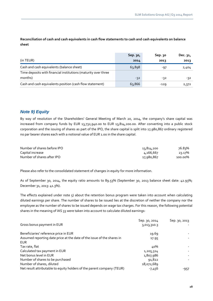**Reconciliation of cash and cash equivalents in cash flow statements to cash and cash equivalents on balance sheet**

|                                                                | Sep. 30, | Sep. 30 | Dec. 31, |
|----------------------------------------------------------------|----------|---------|----------|
| (in TEUR)                                                      | 2014     | 2013    | 2013     |
| Cash and cash equivalents (balance sheet)                      | 63,898   | -97     | 2,404    |
| Time deposits with financial institutions (maturity over three |          |         |          |
| months)                                                        | $-32$    | $-32$   | $-32$    |
| Cash and cash equivalents position (cash flow statement)       | 63,866   | $-129$  | 2,372    |

## *Note 9) Equity*

By way of resolution of the Shareholders' General Meeting of March 20, 2014, the company's share capital was increased from company funds by EUR 13,732,940.00 to EUR 13,814,200.00. After converting into a public stock corporation and the issuing of shares as part of the IPO, the share capital is split into 17,980,867 ordinary registered no par bearer shares each with a notional value of EUR 1.00 in the share capital.

| Number of shares before IPO | 13,814,200 | 76.83%  |
|-----------------------------|------------|---------|
| Capital increase            | 4,166,667  | 23.17%  |
| Number of shares after IPO  | 17,980,867 | 100.00% |

Please also refer to the consolidated statement of changes in equity for more information.

As of September 30, 2014, the equity ratio amounts to 89.53% (September 30, 2013 balance sheet date: 42.93%; December 31, 2013: 41.3%).

The effects explained under note 5) about the retention bonus program were taken into account when calculating diluted earnings per share. The number of shares to be issued lies at the discretion of neither the company nor the employee as the number of shares to be issued depends on wage tax charges. For this reason, the following potential shares in the meaning of IAS 33 were taken into account to calculate diluted earnings:

|                                                                        | Sep. 30, 2014 | Sep. 30, 2013 |
|------------------------------------------------------------------------|---------------|---------------|
| Gross bonus payment in EUR                                             | 3,013,310.3   |               |
| Beneficiaries' reference price in EUR                                  | 19.69         |               |
| Assumed reporting date price at the date of the issue of the shares in | 17.95         |               |
| <b>EUR</b>                                                             |               |               |
| Tax rate, flat                                                         | 40%           |               |
| Calculated tax payment in EUR                                          | 1,205,324     |               |
| Net bonus level in EUR                                                 | 1,807,986     |               |
| Number of shares to be purchased                                       | 91,822        |               |
| Number of shares, diluted                                              | 18,072,689    |               |
| Net result attributable to equity holders of the parent company (TEUR) | $-7,456$      | -957          |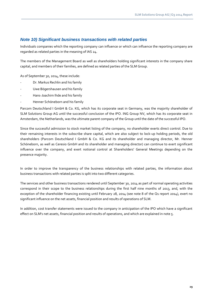## *Note 10) Significant business transactions with related parties*

Individuals companies which the reporting company can influence or which can influence the reporting company are regarded as related parties in the meaning of IAS 24.

The members of the Management Board as well as shareholders holding significant interests in the company share capital, and members of their families, are defined as related parties of the SLM Group.

As of September 30, 2014, these include:

- Dr. Markus Rechlin and his family
- Uwe Bögershausen and his family
- Hans-Joachim Ihde and his family
- Henner Schöneborn and his family

Parcom Deutschland I GmbH & Co. KG, which has its corporate seat in Germany, was the majority shareholder of SLM Solutions Group AG until the successful conclusion of the IPO. ING Group NV, which has its corporate seat in Amsterdam, the Netherlands, was the ultimate parent company of the Group until the date of the successful IPO.

Since the successful admission to stock market listing of the company, no shareholder exerts direct control. Due to their remaining interests in the subscribe share capital, which are also subject to lock-up holding periods, the old shareholders (Parcom Deutschland I GmbH & Co. KG and its shareholder and managing director, Mr. Henner Schöneborn, as well as Ceresio GmbH and its shareholder and managing director) can continue to exert significant influence over the company, and exert notional control at Shareholders' General Meetings depending on the presence majority.

In order to improve the transparency of the business relationships with related parties, the information about business transactions with related parties is split into two different categories.

The services and other business transactions rendered until September 30, 2014 as part of normal operating activities correspond in their scope to the business relationships during the first half nine months of 2013, and, with the exception of the shareholder financing existing until February 28, 2014 (see note 8 of the Q1 report 2014), exert no significant influence on the net assets, financial position and results of operations of SLM.

In addition, cost transfer statements were issued to the company in anticipation of the IPO which have a significant effect on SLM's net assets, financial position and results of operations, and which are explained in note 5.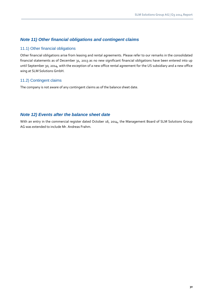## *Note 11) Other financial obligations and contingent claims*

#### 11.1) Other financial obligations

Other financial obligations arise from leasing and rental agreements. Please refer to our remarks in the consolidated financial statements as of December 31, 2013 as no new significant financial obligations have been entered into up until September 30, 2014, with the exception of a new office rental agreement for the US subsidiary and a new office wing at SLM Solutions GmbH.

## 11.2) Contingent claims

The company is not aware of any contingent claims as of the balance sheet date.

## *Note 12) Events after the balance sheet date*

With an entry in the commercial register dated October 16, 2014, the Management Board of SLM Solutions Group AG was extended to include Mr. Andreas Frahm.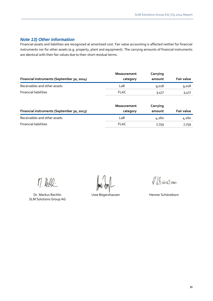## *Note 13) Other information*

Financial assets and liabilities are recognized at amortised cost. Fair value accounting is affected neither for financial instruments nor for other assets (e.g. property, plant and equipment). The carrying amounts of financial instruments are identical with their fair values due to their short residual terms.

| Financial instruments (September 30, 2014) | <b>Measurement</b><br>category | Carrying<br>amount | <b>Fair value</b> |
|--------------------------------------------|--------------------------------|--------------------|-------------------|
| Receivables and other assets               | LaR                            | 9,018              | 9,018             |
| <b>Financial liabilities</b>               | <b>FLAC</b>                    | 3,477              | 3,477             |

| Financial instruments (September 30, 2013) | <b>Measurement</b><br>category | Carrying<br>amount | <b>Fair value</b> |
|--------------------------------------------|--------------------------------|--------------------|-------------------|
| Receivables and other assets               | LaR                            | 4,260              | 4,260             |
| <b>Financial liabilities</b>               | <b>FLAC</b>                    | 7,759              | 7,759             |

M. Redd-

Dr. Markus Rechlin Music und Uwe Bögershausen Music Henner Schöneborn SLM Solutions Group AG

VBaires on